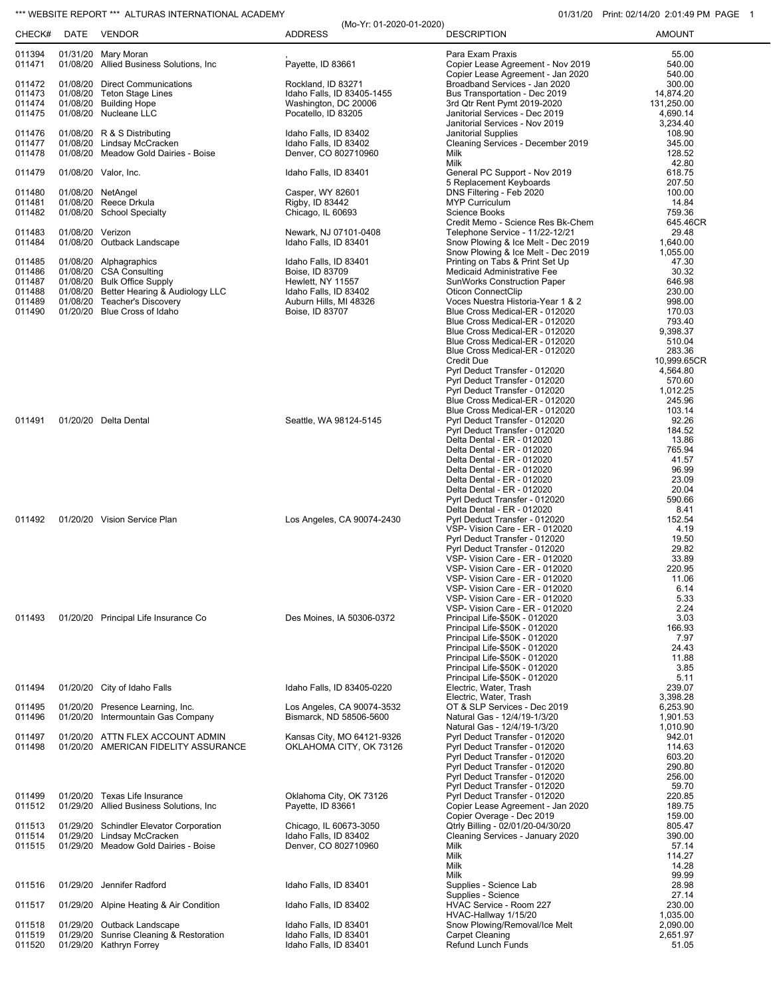## \*\*\* WEBSITE REPORT \*\*\* ALTURAS INTERNATIONAL ACADEMY **1200 CONTRACT CONTRACT CONTRACT OF CONTRACT ACADEMY** 01/31/20 Print: 02/14/20 2:01:49 PM PAGE 1

| CHECK#           | DATE             | <b>VENDOR</b>                                                            | <b>ADDRESS</b>                                        | <b>DESCRIPTION</b>                                                    | <b>AMOUNT</b>           |
|------------------|------------------|--------------------------------------------------------------------------|-------------------------------------------------------|-----------------------------------------------------------------------|-------------------------|
| 011394<br>011471 |                  | 01/31/20 Mary Moran<br>01/08/20 Allied Business Solutions, Inc           | Payette, ID 83661                                     | Para Exam Praxis<br>Copier Lease Agreement - Nov 2019                 | 55.00<br>540.00         |
| 011472           |                  | 01/08/20 Direct Communications                                           | Rockland, ID 83271                                    | Copier Lease Agreement - Jan 2020<br>Broadband Services - Jan 2020    | 540.00<br>300.00        |
| 011473           |                  | 01/08/20 Teton Stage Lines                                               | Idaho Falls, ID 83405-1455                            | Bus Transportation - Dec 2019                                         | 14,874.20               |
| 011474           |                  | 01/08/20 Building Hope                                                   | Washington, DC 20006                                  | 3rd Qtr Rent Pymt 2019-2020                                           | 131,250.00              |
| 011475           |                  | 01/08/20 Nucleane LLC                                                    | Pocatello, ID 83205                                   | Janitorial Services - Dec 2019                                        | 4,690.14                |
| 011476           |                  | 01/08/20 R & S Distributing                                              | Idaho Falls, ID 83402                                 | Janitorial Services - Nov 2019<br><b>Janitorial Supplies</b>          | 3,234.40<br>108.90      |
| 011477           |                  | 01/08/20 Lindsay McCracken                                               | Idaho Falls, ID 83402                                 | Cleaning Services - December 2019                                     | 345.00                  |
| 011478           |                  | 01/08/20 Meadow Gold Dairies - Boise                                     | Denver, CO 802710960                                  | Milk                                                                  | 128.52                  |
|                  |                  |                                                                          |                                                       | Milk                                                                  | 42.80                   |
| 011479           |                  | 01/08/20 Valor, Inc.                                                     | Idaho Falls, ID 83401                                 | General PC Support - Nov 2019<br>5 Replacement Keyboards              | 618.75<br>207.50        |
| 011480           |                  | 01/08/20 NetAngel                                                        | Casper, WY 82601                                      | DNS Filtering - Feb 2020                                              | 100.00                  |
| 011481           |                  | 01/08/20 Reece Drkula                                                    | Rigby, ID 83442                                       | <b>MYP Curriculum</b>                                                 | 14.84                   |
| 011482           |                  | 01/08/20 School Specialty                                                | Chicago, IL 60693                                     | <b>Science Books</b>                                                  | 759.36                  |
| 011483           | 01/08/20 Verizon |                                                                          | Newark, NJ 07101-0408                                 | Credit Memo - Science Res Bk-Chem<br>Telephone Service - 11/22-12/21  | 645.46CR<br>29.48       |
| 011484           |                  | 01/08/20 Outback Landscape                                               | Idaho Falls, ID 83401                                 | Snow Plowing & Ice Melt - Dec 2019                                    | 1,640.00                |
|                  |                  |                                                                          |                                                       | Snow Plowing & Ice Melt - Dec 2019                                    | 1,055.00                |
| 011485<br>011486 |                  | 01/08/20 Alphagraphics<br>01/08/20 CSA Consulting                        | Idaho Falls, ID 83401<br>Boise, ID 83709              | Printing on Tabs & Print Set Up<br>Medicaid Administrative Fee        | 47.30<br>30.32          |
| 011487           |                  | 01/08/20 Bulk Office Supply                                              | Hewlett, NY 11557                                     | <b>SunWorks Construction Paper</b>                                    | 646.98                  |
| 011488           |                  | 01/08/20 Better Hearing & Audiology LLC                                  | Idaho Falls, ID 83402                                 | <b>Oticon ConnectClip</b>                                             | 230.00                  |
| 011489           |                  | 01/08/20 Teacher's Discovery                                             | Auburn Hills, MI 48326                                | Voces Nuestra Historia-Year 1 & 2                                     | 998.00                  |
| 011490           |                  | 01/20/20 Blue Cross of Idaho                                             | Boise, ID 83707                                       | Blue Cross Medical-ER - 012020<br>Blue Cross Medical-ER - 012020      | 170.03<br>793.40        |
|                  |                  |                                                                          |                                                       | Blue Cross Medical-ER - 012020                                        | 9,398.37                |
|                  |                  |                                                                          |                                                       | Blue Cross Medical-ER - 012020                                        | 510.04                  |
|                  |                  |                                                                          |                                                       | Blue Cross Medical-ER - 012020<br><b>Credit Due</b>                   | 283.36                  |
|                  |                  |                                                                          |                                                       | Pyrl Deduct Transfer - 012020                                         | 10,999.65CR<br>4,564.80 |
|                  |                  |                                                                          |                                                       | Pyrl Deduct Transfer - 012020                                         | 570.60                  |
|                  |                  |                                                                          |                                                       | Pyrl Deduct Transfer - 012020                                         | 1,012.25                |
|                  |                  |                                                                          |                                                       | Blue Cross Medical-ER - 012020<br>Blue Cross Medical-ER - 012020      | 245.96<br>103.14        |
| 011491           |                  | 01/20/20 Delta Dental                                                    | Seattle, WA 98124-5145                                | Pyrl Deduct Transfer - 012020                                         | 92.26                   |
|                  |                  |                                                                          |                                                       | Pyrl Deduct Transfer - 012020                                         | 184.52                  |
|                  |                  |                                                                          |                                                       | Delta Dental - ER - 012020                                            | 13.86<br>765.94         |
|                  |                  |                                                                          |                                                       | Delta Dental - ER - 012020<br>Delta Dental - ER - 012020              | 41.57                   |
|                  |                  |                                                                          |                                                       | Delta Dental - ER - 012020                                            | 96.99                   |
|                  |                  |                                                                          |                                                       | Delta Dental - ER - 012020                                            | 23.09                   |
|                  |                  |                                                                          |                                                       | Delta Dental - ER - 012020<br>Pyrl Deduct Transfer - 012020           | 20.04<br>590.66         |
|                  |                  |                                                                          |                                                       | Delta Dental - ER - 012020                                            | 8.41                    |
| 011492           |                  | 01/20/20 Vision Service Plan                                             | Los Angeles, CA 90074-2430                            | Pyrl Deduct Transfer - 012020                                         | 152.54                  |
|                  |                  |                                                                          |                                                       | VSP- Vision Care - ER - 012020<br>Pyrl Deduct Transfer - 012020       | 4.19<br>19.50           |
|                  |                  |                                                                          |                                                       | Pyrl Deduct Transfer - 012020                                         | 29.82                   |
|                  |                  |                                                                          |                                                       | VSP- Vision Care - ER - 012020                                        | 33.89                   |
|                  |                  |                                                                          |                                                       | VSP- Vision Care - ER - 012020                                        | 220.95<br>11.06         |
|                  |                  |                                                                          |                                                       | VSP- Vision Care - ER - 012020<br>VSP- Vision Care - ER - 012020      | 6.14                    |
|                  |                  |                                                                          |                                                       | VSP- Vision Care - ER - 012020                                        | 5.33                    |
| 011493           |                  | 01/20/20 Principal Life Insurance Co                                     |                                                       | VSP- Vision Care - ER - 012020                                        | 2.24                    |
|                  |                  |                                                                          | Des Moines, IA 50306-0372                             | Principal Life-\$50K - 012020<br>Principal Life-\$50K - 012020        | 3.03<br>166.93          |
|                  |                  |                                                                          |                                                       | Principal Life-\$50K - 012020                                         | 7.97                    |
|                  |                  |                                                                          |                                                       | Principal Life-\$50K - 012020                                         | 24.43                   |
|                  |                  |                                                                          |                                                       | Principal Life-\$50K - 012020<br>Principal Life-\$50K - 012020        | 11.88<br>3.85           |
|                  |                  |                                                                          |                                                       | Principal Life-\$50K - 012020                                         | 5.11                    |
| 011494           |                  | 01/20/20 City of Idaho Falls                                             | Idaho Falls, ID 83405-0220                            | Electric, Water, Trash                                                | 239.07                  |
| 011495           |                  | 01/20/20 Presence Learning, Inc.                                         | Los Angeles, CA 90074-3532                            | Electric, Water, Trash<br>OT & SLP Services - Dec 2019                | 3,398.28<br>6,253.90    |
| 011496           |                  | 01/20/20 Intermountain Gas Company                                       | Bismarck, ND 58506-5600                               | Natural Gas - 12/4/19-1/3/20                                          | 1,901.53                |
|                  |                  |                                                                          |                                                       | Natural Gas - 12/4/19-1/3/20                                          | 1,010.90                |
| 011497<br>011498 |                  | 01/20/20 ATTN FLEX ACCOUNT ADMIN<br>01/20/20 AMERICAN FIDELITY ASSURANCE | Kansas City, MO 64121-9326<br>OKLAHOMA CITY, OK 73126 | Pyrl Deduct Transfer - 012020<br>Pyrl Deduct Transfer - 012020        | 942.01<br>114.63        |
|                  |                  |                                                                          |                                                       | Pyrl Deduct Transfer - 012020                                         | 603.20                  |
|                  |                  |                                                                          |                                                       | Pyrl Deduct Transfer - 012020                                         | 290.80                  |
|                  |                  |                                                                          |                                                       | Pyrl Deduct Transfer - 012020                                         | 256.00                  |
| 011499           |                  | 01/20/20 Texas Life Insurance                                            | Oklahoma City, OK 73126                               | Pyrl Deduct Transfer - 012020<br>Pyrl Deduct Transfer - 012020        | 59.70<br>220.85         |
| 011512           |                  | 01/29/20 Allied Business Solutions, Inc.                                 | Payette, ID 83661                                     | Copier Lease Agreement - Jan 2020                                     | 189.75                  |
|                  |                  |                                                                          |                                                       | Copier Overage - Dec 2019                                             | 159.00                  |
| 011513<br>011514 |                  | 01/29/20 Schindler Elevator Corporation<br>01/29/20 Lindsay McCracken    | Chicago, IL 60673-3050<br>Idaho Falls, ID 83402       | Qtrly Billing - 02/01/20-04/30/20<br>Cleaning Services - January 2020 | 805.47<br>390.00        |
| 011515           |                  | 01/29/20 Meadow Gold Dairies - Boise                                     | Denver, CO 802710960                                  | Milk                                                                  | 57.14                   |
|                  |                  |                                                                          |                                                       | Milk                                                                  | 114.27                  |
|                  |                  |                                                                          |                                                       | Milk<br>Milk                                                          | 14.28<br>99.99          |
| 011516           |                  | 01/29/20 Jennifer Radford                                                | Idaho Falls, ID 83401                                 | Supplies - Science Lab                                                | 28.98                   |
|                  |                  |                                                                          |                                                       | Supplies - Science                                                    | 27.14                   |
| 011517           |                  | 01/29/20 Alpine Heating & Air Condition                                  | Idaho Falls, ID 83402                                 | HVAC Service - Room 227                                               | 230.00                  |
| 011518           |                  | 01/29/20 Outback Landscape                                               | Idaho Falls, ID 83401                                 | HVAC-Hallway 1/15/20<br>Snow Plowing/Removal/Ice Melt                 | 1,035.00<br>2,090.00    |
| 011519           |                  | 01/29/20 Sunrise Cleaning & Restoration                                  | Idaho Falls, ID 83401                                 | <b>Carpet Cleaning</b>                                                | 2,651.97                |
| 011520           |                  | 01/29/20 Kathryn Forrey                                                  | Idaho Falls, ID 83401                                 | Refund Lunch Funds                                                    | 51.05                   |

(Mo-Yr: 01-2020-01-2020)